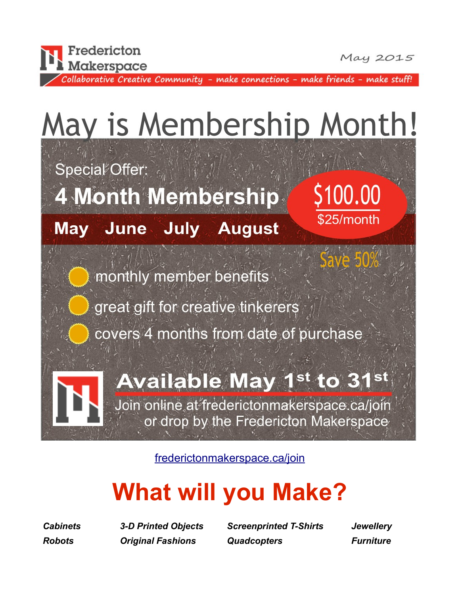

May 2015

\$100.00

\$25/month

Collaborative Creative Community - make connections - make friends - make stuff!

# May is Membership Month!

Special Offer:

**4 Month Membership** 

**May June July August** 

monthly member benefits

great gift for creative tinkerers

covers 4 months from date of purchase

#### **Available May**  $st$  to  $3$

Join online at frederictonmakerspace.ca/join or drop by the Fredericton Makerspace

[frederictonmakerspace.ca/join](http://www.frederictonmakerspace.ca/join.html)

## **What will you Make?**

*Cabinets 3-D Printed Objects Screenprinted T-Shirts Jewellery Robots Original Fashions Quadcopters Furniture*